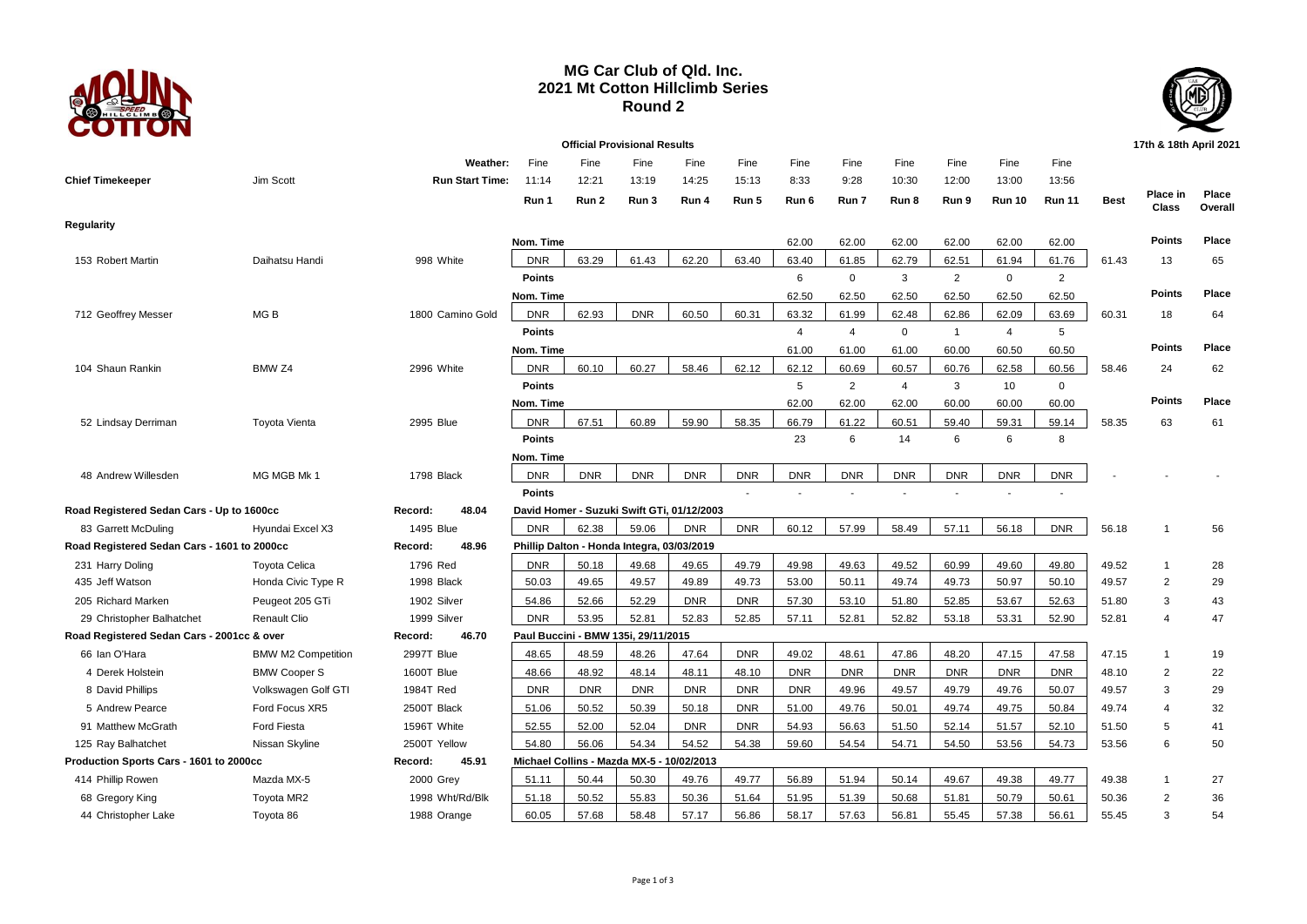

## **MG Car Club of Qld. Inc. 2021 Mt Cotton Hillclimb Series Round 2**



|                                             |                           |                        |               |            | <b>Official Provisional Results</b>        |                                            |            |            |             |                |                |                |                |             | 17th & 18th April 2021 |                  |
|---------------------------------------------|---------------------------|------------------------|---------------|------------|--------------------------------------------|--------------------------------------------|------------|------------|-------------|----------------|----------------|----------------|----------------|-------------|------------------------|------------------|
|                                             |                           | Weather:               | Fine          | Fine       | Fine                                       | Fine                                       | Fine       | Fine       | Fine        | Fine           | Fine           | Fine           | Fine           |             |                        |                  |
| <b>Chief Timekeeper</b>                     | Jim Scott                 | <b>Run Start Time:</b> | 11:14         | 12:21      | 13:19                                      | 14:25                                      | 15:13      | 8:33       | 9:28        | 10:30          | 12:00          | 13:00          | 13:56          |             |                        |                  |
|                                             |                           |                        | Run 1         | Run 2      | Run 3                                      | Run 4                                      | Run 5      | Run 6      | Run 7       | Run 8          | Run 9          | <b>Run 10</b>  | <b>Run 11</b>  | <b>Best</b> | Place in<br>Class      | Place<br>Overall |
| <b>Regularity</b>                           |                           |                        |               |            |                                            |                                            |            |            |             |                |                |                |                |             |                        |                  |
|                                             |                           |                        | Nom. Time     |            |                                            |                                            |            | 62.00      | 62.00       | 62.00          | 62.00          | 62.00          | 62.00          |             | <b>Points</b>          | Place            |
| 153 Robert Martin                           | Daihatsu Handi            | 998 White              | <b>DNR</b>    | 63.29      | 61.43                                      | 62.20                                      | 63.40      | 63.40      | 61.85       | 62.79          | 62.51          | 61.94          | 61.76          | 61.43       | 13                     | 65               |
|                                             |                           |                        | <b>Points</b> |            |                                            |                                            |            | 6          | $\mathbf 0$ | 3              | $\overline{2}$ | $\mathbf 0$    | $\overline{2}$ |             |                        |                  |
|                                             |                           |                        | Nom. Time     |            |                                            |                                            |            | 62.50      | 62.50       | 62.50          | 62.50          | 62.50          | 62.50          |             | <b>Points</b>          | Place            |
| 712 Geoffrey Messer                         | MG <sub>B</sub>           | 1800 Camino Gold       | <b>DNR</b>    | 62.93      | <b>DNR</b>                                 | 60.50                                      | 60.31      | 63.32      | 61.99       | 62.48          | 62.86          | 62.09          | 63.69          | 60.31       | 18                     | 64               |
|                                             |                           |                        | <b>Points</b> |            |                                            |                                            |            | 4          | 4           | $\mathbf 0$    | $\overline{1}$ | $\overline{4}$ | 5              |             |                        |                  |
|                                             |                           |                        | Nom. Time     |            |                                            |                                            |            | 61.00      | 61.00       | 61.00          | 60.00          | 60.50          | 60.50          |             | <b>Points</b>          | Place            |
| 104 Shaun Rankin                            | BMW <sub>Z4</sub>         | 2996 White             | <b>DNR</b>    | 60.10      | 60.27                                      | 58.46                                      | 62.12      | 62.12      | 60.69       | 60.57          | 60.76          | 62.58          | 60.56          | 58.46       | 24                     | 62               |
|                                             |                           |                        | Points        |            |                                            |                                            |            | 5          | 2           | $\overline{4}$ | 3              | 10             | $\mathbf 0$    |             |                        |                  |
|                                             |                           |                        | Nom. Time     |            |                                            |                                            |            | 62.00      | 62.00       | 62.00          | 60.00          | 60.00          | 60.00          |             | <b>Points</b>          | Place            |
| 52 Lindsay Derriman                         | <b>Toyota Vienta</b>      | 2995 Blue              | <b>DNR</b>    | 67.51      | 60.89                                      | 59.90                                      | 58.35      | 66.79      | 61.22       | 60.51          | 59.40          | 59.31          | 59.14          | 58.35       | 63                     | 61               |
|                                             |                           |                        | <b>Points</b> |            |                                            |                                            |            | 23         | 6           | 14             | 6              | 6              | 8              |             |                        |                  |
|                                             |                           |                        | Nom. Time     |            |                                            |                                            |            |            |             |                |                |                |                |             |                        |                  |
| 48 Andrew Willesden                         | MG MGB Mk 1               | 1798 Black             | <b>DNR</b>    | <b>DNR</b> | <b>DNR</b>                                 | <b>DNR</b>                                 | <b>DNR</b> | <b>DNR</b> | <b>DNR</b>  | <b>DNR</b>     | <b>DNR</b>     | <b>DNR</b>     | <b>DNR</b>     |             |                        |                  |
|                                             |                           |                        | <b>Points</b> |            |                                            |                                            |            |            |             |                |                |                |                |             |                        |                  |
| Road Registered Sedan Cars - Up to 1600cc   |                           | 48.04<br>Record:       |               |            |                                            | David Homer - Suzuki Swift GTi, 01/12/2003 |            |            |             |                |                |                |                |             |                        |                  |
| 83 Garrett McDuling                         | Hyundai Excel X3          | 1495 Blue              | <b>DNR</b>    | 62.38      | 59.06                                      | <b>DNR</b>                                 | <b>DNR</b> | 60.12      | 57.99       | 58.49          | 57.11          | 56.18          | <b>DNR</b>     | 56.18       | $\mathbf{1}$           | 56               |
| Road Registered Sedan Cars - 1601 to 2000cc |                           | 48.96<br>Record:       |               |            | Phillip Dalton - Honda Integra, 03/03/2019 |                                            |            |            |             |                |                |                |                |             |                        |                  |
| 231 Harry Doling                            | <b>Toyota Celica</b>      | 1796 Red               | <b>DNR</b>    | 50.18      | 49.68                                      | 49.65                                      | 49.79      | 49.98      | 49.63       | 49.52          | 60.99          | 49.60          | 49.80          | 49.52       | $\mathbf{1}$           | 28               |
| 435 Jeff Watson                             | Honda Civic Type R        | 1998 Black             | 50.03         | 49.65      | 49.57                                      | 49.89                                      | 49.73      | 53.00      | 50.11       | 49.74          | 49.73          | 50.97          | 50.10          | 49.57       | $\overline{2}$         | 29               |
| 205 Richard Marken                          | Peugeot 205 GTi           | 1902 Silver            | 54.86         | 52.66      | 52.29                                      | <b>DNR</b>                                 | <b>DNR</b> | 57.30      | 53.10       | 51.80          | 52.85          | 53.67          | 52.63          | 51.80       | 3                      | 43               |
| 29 Christopher Balhatchet                   | <b>Renault Clio</b>       | 1999 Silver            | <b>DNR</b>    | 53.95      | 52.81                                      | 52.83                                      | 52.85      | 57.11      | 52.81       | 52.82          | 53.18          | 53.31          | 52.90          | 52.81       | $\overline{4}$         | 47               |
| Road Registered Sedan Cars - 2001cc & over  |                           | 46.70<br>Record:       |               |            | Paul Buccini - BMW 135i, 29/11/2015        |                                            |            |            |             |                |                |                |                |             |                        |                  |
| 66 Ian O'Hara                               | <b>BMW M2 Competition</b> | 2997T Blue             | 48.65         | 48.59      | 48.26                                      | 47.64                                      | <b>DNR</b> | 49.02      | 48.61       | 47.86          | 48.20          | 47.15          | 47.58          | 47.15       | $\mathbf{1}$           | 19               |
| 4 Derek Holstein                            | <b>BMW Cooper S</b>       | 1600T Blue             | 48.66         | 48.92      | 48.14                                      | 48.11                                      | 48.10      | <b>DNR</b> | <b>DNR</b>  | <b>DNR</b>     | <b>DNR</b>     | <b>DNR</b>     | <b>DNR</b>     | 48.10       | $\overline{2}$         | 22               |
| 8 David Phillips                            | Volkswagen Golf GTI       | 1984T Red              | <b>DNR</b>    | <b>DNR</b> | <b>DNR</b>                                 | <b>DNR</b>                                 | <b>DNR</b> | <b>DNR</b> | 49.96       | 49.57          | 49.79          | 49.76          | 50.07          | 49.57       | 3                      | 29               |
| 5 Andrew Pearce                             | Ford Focus XR5            | 2500T Black            | 51.06         | 50.52      | 50.39                                      | 50.18                                      | <b>DNR</b> | 51.00      | 49.76       | 50.01          | 49.74          | 49.75          | 50.84          | 49.74       | $\overline{4}$         | 32               |
| 91 Matthew McGrath                          | <b>Ford Fiesta</b>        | 1596T White            | 52.55         | 52.00      | 52.04                                      | <b>DNR</b>                                 | <b>DNR</b> | 54.93      | 56.63       | 51.50          | 52.14          | 51.57          | 52.10          | 51.50       | 5                      | 41               |
| 125 Ray Balhatchet                          | Nissan Skyline            | 2500T Yellow           | 54.80         | 56.06      | 54.34                                      | 54.52                                      | 54.38      | 59.60      | 54.54       | 54.71          | 54.50          | 53.56          | 54.73          | 53.56       | 6                      | 50               |
| Production Sports Cars - 1601 to 2000cc     |                           | 45.91<br>Record:       |               |            | Michael Collins - Mazda MX-5 - 10/02/2013  |                                            |            |            |             |                |                |                |                |             |                        |                  |
| 414 Phillip Rowen                           | Mazda MX-5                | 2000 Grey              | 51.11         | 50.44      | 50.30                                      | 49.76                                      | 49.77      | 56.89      | 51.94       | 50.14          | 49.67          | 49.38          | 49.77          | 49.38       | $\mathbf{1}$           | 27               |
| 68 Gregory King                             | Toyota MR2                | 1998 Wht/Rd/Blk        | 51.18         | 50.52      | 55.83                                      | 50.36                                      | 51.64      | 51.95      | 51.39       | 50.68          | 51.81          | 50.79          | 50.61          | 50.36       | $\overline{2}$         | 36               |
| 44 Christopher Lake                         | Toyota 86                 | 1988 Orange            | 60.05         | 57.68      | 58.48                                      | 57.17                                      | 56.86      | 58.17      | 57.63       | 56.81          | 55.45          | 57.38          | 56.61          | 55.45       | 3                      | 54               |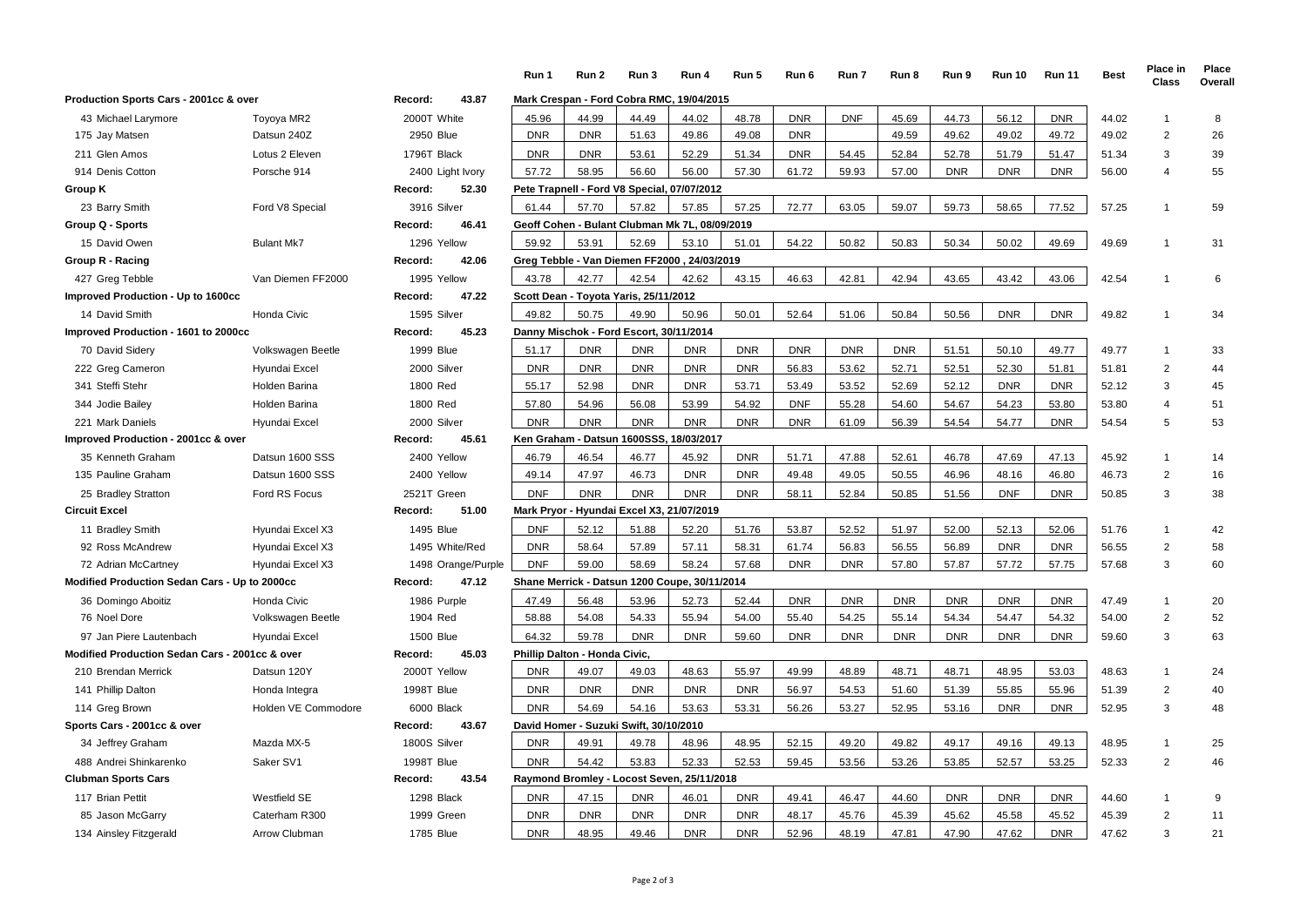|                                                |                     |                    | Run 1                                         | Run 2                                          | Run 3      | Run 4      | Run 5      | Run 6      | Run 7      | Run 8      | Run 9      | <b>Run 10</b> | <b>Run 11</b> | <b>Best</b> | Place in<br>Class       | Place<br>Overall |
|------------------------------------------------|---------------------|--------------------|-----------------------------------------------|------------------------------------------------|------------|------------|------------|------------|------------|------------|------------|---------------|---------------|-------------|-------------------------|------------------|
| Production Sports Cars - 2001cc & over         |                     | 43.87<br>Record:   |                                               | Mark Crespan - Ford Cobra RMC, 19/04/2015      |            |            |            |            |            |            |            |               |               |             |                         |                  |
| 43 Michael Larymore                            | Toyoya MR2          | 2000T White        | 45.96                                         | 44.99                                          | 44.49      | 44.02      | 48.78      | <b>DNR</b> | <b>DNF</b> | 45.69      | 44.73      | 56.12         | <b>DNR</b>    | 44.02       | $\mathbf{1}$            | 8                |
| 175 Jay Matsen                                 | Datsun 240Z         | 2950 Blue          | <b>DNR</b>                                    | <b>DNR</b>                                     | 51.63      | 49.86      | 49.08      | <b>DNR</b> |            | 49.59      | 49.62      | 49.02         | 49.72         | 49.02       | $\overline{2}$          | 26               |
| 211 Glen Amos                                  | Lotus 2 Eleven      | 1796T Black        | <b>DNR</b>                                    | <b>DNR</b>                                     | 53.61      | 52.29      | 51.34      | <b>DNR</b> | 54.45      | 52.84      | 52.78      | 51.79         | 51.47         | 51.34       | 3                       | 39               |
| 914 Denis Cotton                               | Porsche 914         | 2400 Light Ivory   | 57.72                                         | 58.95                                          | 56.60      | 56.00      | 57.30      | 61.72      | 59.93      | 57.00      | <b>DNR</b> | <b>DNR</b>    | <b>DNR</b>    | 56.00       | 4                       | 55               |
| Group K                                        |                     | 52.30<br>Record:   |                                               | Pete Trapnell - Ford V8 Special, 07/07/2012    |            |            |            |            |            |            |            |               |               |             |                         |                  |
| 23 Barry Smith                                 | Ford V8 Special     | 3916 Silver        | 61.44                                         | 57.70                                          | 57.82      | 57.85      | 57.25      | 72.77      | 63.05      | 59.07      | 59.73      | 58.65         | 77.52         | 57.25       | $\mathbf{1}$            | 59               |
| Group Q - Sports                               |                     | 46.41<br>Record:   |                                               | Geoff Cohen - Bulant Clubman Mk 7L, 08/09/2019 |            |            |            |            |            |            |            |               |               |             |                         |                  |
| 15 David Owen                                  | <b>Bulant Mk7</b>   | 1296 Yellow        | 59.92                                         | 53.91                                          | 52.69      | 53.10      | 51.01      | 54.22      | 50.82      | 50.83      | 50.34      | 50.02         | 49.69         | 49.69       | $\mathbf{1}$            | 31               |
| Group R - Racing                               |                     | Record:<br>42.06   |                                               | Greg Tebble - Van Diemen FF2000, 24/03/2019    |            |            |            |            |            |            |            |               |               |             |                         |                  |
| 427 Greg Tebble                                | Van Diemen FF2000   | 1995 Yellow        | 43.78                                         | 42.77                                          | 42.54      | 42.62      | 43.15      | 46.63      | 42.81      | 42.94      | 43.65      | 43.42         | 43.06         | 42.54       | $\mathbf{1}$            | 6                |
| Improved Production - Up to 1600cc             |                     | 47.22<br>Record:   |                                               | Scott Dean - Toyota Yaris, 25/11/2012          |            |            |            |            |            |            |            |               |               |             |                         |                  |
| 14 David Smith                                 | Honda Civic         | 1595 Silver        | 49.82                                         | 50.75                                          | 49.90      | 50.96      | 50.01      | 52.64      | 51.06      | 50.84      | 50.56      | <b>DNR</b>    | <b>DNR</b>    | 49.82       | $\mathbf{1}$            | 34               |
| Improved Production - 1601 to 2000cc           |                     | Record:<br>45.23   |                                               | Danny Mischok - Ford Escort, 30/11/2014        |            |            |            |            |            |            |            |               |               |             |                         |                  |
| 70 David Sidery                                | Volkswagen Beetle   | <b>1999 Blue</b>   | 51.17                                         | <b>DNR</b>                                     | <b>DNR</b> | <b>DNR</b> | <b>DNR</b> | <b>DNR</b> | <b>DNR</b> | <b>DNR</b> | 51.51      | 50.10         | 49.77         | 49.77       | $\mathbf{1}$            | 33               |
| 222 Greg Cameron                               | Hyundai Excel       | 2000 Silver        | <b>DNR</b>                                    | <b>DNR</b>                                     | <b>DNR</b> | <b>DNR</b> | <b>DNR</b> | 56.83      | 53.62      | 52.71      | 52.51      | 52.30         | 51.81         | 51.81       | 2                       | 44               |
| 341 Steffi Stehr                               | Holden Barina       | 1800 Red           | 55.17                                         | 52.98                                          | <b>DNR</b> | <b>DNR</b> | 53.71      | 53.49      | 53.52      | 52.69      | 52.12      | <b>DNR</b>    | <b>DNR</b>    | 52.12       | 3                       | 45               |
| 344 Jodie Bailey                               | Holden Barina       | 1800 Red           | 57.80                                         | 54.96                                          | 56.08      | 53.99      | 54.92      | <b>DNF</b> | 55.28      | 54.60      | 54.67      | 54.23         | 53.80         | 53.80       | $\overline{\mathbf{A}}$ | 51               |
| 221 Mark Daniels                               | Hyundai Excel       | 2000 Silver        | <b>DNR</b>                                    | <b>DNR</b>                                     | <b>DNR</b> | <b>DNR</b> | <b>DNR</b> | <b>DNR</b> | 61.09      | 56.39      | 54.54      | 54.77         | <b>DNR</b>    | 54.54       | 5                       | 53               |
| Improved Production - 2001cc & over            |                     | 45.61<br>Record:   |                                               | Ken Graham - Datsun 1600SSS,                   |            | 18/03/2017 |            |            |            |            |            |               |               |             |                         |                  |
| 35 Kenneth Graham                              | Datsun 1600 SSS     | 2400 Yellow        | 46.79                                         | 46.54                                          | 46.77      | 45.92      | <b>DNR</b> | 51.71      | 47.88      | 52.61      | 46.78      | 47.69         | 47.13         | 45.92       | $\mathbf{1}$            | 14               |
| 135 Pauline Graham                             | Datsun 1600 SSS     | 2400 Yellow        | 49.14                                         | 47.97                                          | 46.73      | <b>DNR</b> | <b>DNR</b> | 49.48      | 49.05      | 50.55      | 46.96      | 48.16         | 46.80         | 46.73       | $\overline{c}$          | 16               |
| 25 Bradley Stratton                            | Ford RS Focus       | 2521T Green        | <b>DNF</b>                                    | <b>DNR</b>                                     | <b>DNR</b> | <b>DNR</b> | <b>DNR</b> | 58.11      | 52.84      | 50.85      | 51.56      | <b>DNF</b>    | <b>DNR</b>    | 50.85       | 3                       | 38               |
| <b>Circuit Excel</b>                           |                     | 51.00<br>Record:   |                                               | Mark Pryor - Hyundai Excel X3, 21/07/2019      |            |            |            |            |            |            |            |               |               |             |                         |                  |
| 11 Bradley Smith                               | Hyundai Excel X3    | 1495 Blue          | <b>DNF</b>                                    | 52.12                                          | 51.88      | 52.20      | 51.76      | 53.87      | 52.52      | 51.97      | 52.00      | 52.13         | 52.06         | 51.76       | $\mathbf{1}$            | 42               |
| 92 Ross McAndrew                               | Hyundai Excel X3    | 1495 White/Red     | <b>DNR</b>                                    | 58.64                                          | 57.89      | 57.11      | 58.31      | 61.74      | 56.83      | 56.55      | 56.89      | <b>DNR</b>    | <b>DNR</b>    | 56.55       | 2                       | 58               |
| 72 Adrian McCartney                            | Hyundai Excel X3    | 1498 Orange/Purple | <b>DNF</b>                                    | 59.00                                          | 58.69      | 58.24      | 57.68      | <b>DNR</b> | <b>DNR</b> | 57.80      | 57.87      | 57.72         | 57.75         | 57.68       | 3                       | 60               |
| Modified Production Sedan Cars - Up to 2000cc  |                     | 47.12<br>Record:   | Shane Merrick - Datsun 1200 Coupe, 30/11/2014 |                                                |            |            |            |            |            |            |            |               |               |             |                         |                  |
| 36 Domingo Aboitiz                             | Honda Civic         | 1986 Purple        | 47.49                                         | 56.48                                          | 53.96      | 52.73      | 52.44      | <b>DNR</b> | <b>DNR</b> | <b>DNR</b> | <b>DNR</b> | <b>DNR</b>    | <b>DNR</b>    | 47.49       | $\mathbf{1}$            | 20               |
| 76 Noel Dore                                   | Volkswagen Beetle   | 1904 Red           | 58.88                                         | 54.08                                          | 54.33      | 55.94      | 54.00      | 55.40      | 54.25      | 55.14      | 54.34      | 54.47         | 54.32         | 54.00       | $\overline{2}$          | 52               |
| 97 Jan Piere Lautenbach                        | Hyundai Excel       | <b>1500 Blue</b>   | 64.32                                         | 59.78                                          | <b>DNR</b> | <b>DNR</b> | 59.60      | <b>DNR</b> | <b>DNR</b> | <b>DNR</b> | <b>DNR</b> | <b>DNR</b>    | <b>DNR</b>    | 59.60       | 3                       | 63               |
| Modified Production Sedan Cars - 2001cc & over |                     | Record:<br>45.03   |                                               | Phillip Dalton - Honda Civic,                  |            |            |            |            |            |            |            |               |               |             |                         |                  |
| 210 Brendan Merrick                            | Datsun 120Y         | 2000T Yellow       | <b>DNR</b>                                    | 49.07                                          | 49.03      | 48.63      | 55.97      | 49.99      | 48.89      | 48.71      | 48.71      | 48.95         | 53.03         | 48.63       | $\mathbf{1}$            | 24               |
| 141 Phillip Dalton                             | Honda Integra       | 1998T Blue         | <b>DNR</b>                                    | <b>DNR</b>                                     | <b>DNR</b> | <b>DNR</b> | <b>DNR</b> | 56.97      | 54.53      | 51.60      | 51.39      | 55.85         | 55.96         | 51.39       | 2                       | 40               |
| 114 Greg Brown                                 | Holden VE Commodore | 6000 Black         | <b>DNR</b>                                    | 54.69                                          | 54.16      | 53.63      | 53.31      | 56.26      | 53.27      | 52.95      | 53.16      | <b>DNR</b>    | <b>DNR</b>    | 52.95       | 3                       | 48               |
| Sports Cars - 2001cc & over                    |                     | Record:<br>43.67   |                                               | David Homer - Suzuki Swift, 30/10/2010         |            |            |            |            |            |            |            |               |               |             |                         |                  |
| 34 Jeffrey Graham                              | Mazda MX-5          | 1800S Silver       | <b>DNR</b>                                    | 49.91                                          | 49.78      | 48.96      | 48.95      | 52.15      | 49.20      | 49.82      | 49.17      | 49.16         | 49.13         | 48.95       | $\mathbf{1}$            | 25               |
| 488 Andrei Shinkarenko                         | Saker SV1           | 1998T Blue         | <b>DNR</b>                                    | 54.42                                          | 53.83      | 52.33      | 52.53      | 59.45      | 53.56      | 53.26      | 53.85      | 52.57         | 53.25         | 52.33       | $\overline{2}$          | 46               |
| <b>Clubman Sports Cars</b>                     |                     | 43.54<br>Record:   |                                               | Raymond Bromley - Locost Seven, 25/11/2018     |            |            |            |            |            |            |            |               |               |             |                         |                  |
| 117 Brian Pettit                               | Westfield SE        | 1298 Black         | <b>DNR</b>                                    | 47.15                                          | <b>DNR</b> | 46.01      | <b>DNR</b> | 49.41      | 46.47      | 44.60      | <b>DNR</b> | <b>DNR</b>    | <b>DNR</b>    | 44.60       | $\mathbf{1}$            | 9                |
| 85 Jason McGarry                               | Caterham R300       | 1999 Green         | <b>DNR</b>                                    | <b>DNR</b>                                     | <b>DNR</b> | <b>DNR</b> | <b>DNR</b> | 48.17      | 45.76      | 45.39      | 45.62      | 45.58         | 45.52         | 45.39       | $\overline{2}$          | 11               |
| 134 Ainsley Fitzgerald                         | Arrow Clubman       | 1785 Blue          | <b>DNR</b>                                    | 48.95                                          | 49.46      | <b>DNR</b> | <b>DNR</b> | 52.96      | 48.19      | 47.81      | 47.90      | 47.62         | <b>DNR</b>    | 47.62       | 3                       | 21               |